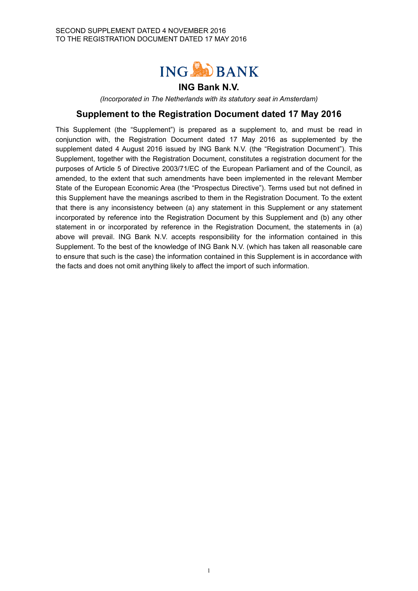

## **ING Bank N.V.**

*(Incorporated in The Netherlands with its statutory seat in Amsterdam)*

# **Supplement to the Registration Document dated 17 May 2016**

This Supplement (the "Supplement") is prepared as a supplement to, and must be read in conjunction with, the Registration Document dated 17 May 2016 as supplemented by the supplement dated 4 August 2016 issued by ING Bank N.V. (the "Registration Document"). This Supplement, together with the Registration Document, constitutes a registration document for the purposes of Article 5 of Directive 2003/71/EC of the European Parliament and of the Council, as amended, to the extent that such amendments have been implemented in the relevant Member State of the European Economic Area (the "Prospectus Directive"). Terms used but not defined in this Supplement have the meanings ascribed to them in the Registration Document. To the extent that there is any inconsistency between (a) any statement in this Supplement or any statement incorporated by reference into the Registration Document by this Supplement and (b) any other statement in or incorporated by reference in the Registration Document, the statements in (a) above will prevail. ING Bank N.V. accepts responsibility for the information contained in this Supplement. To the best of the knowledge of ING Bank N.V. (which has taken all reasonable care to ensure that such is the case) the information contained in this Supplement is in accordance with the facts and does not omit anything likely to affect the import of such information.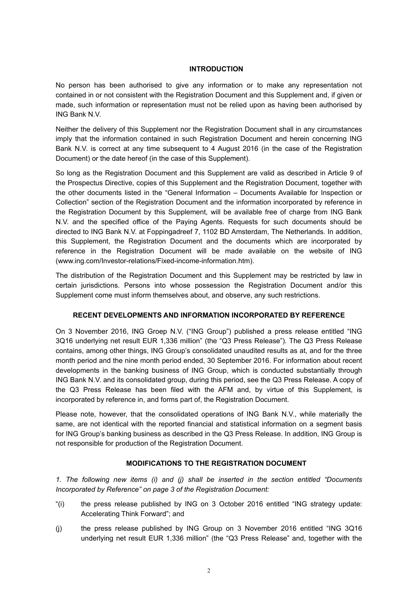#### **INTRODUCTION**

No person has been authorised to give any information or to make any representation not contained in or not consistent with the Registration Document and this Supplement and, if given or made, such information or representation must not be relied upon as having been authorised by ING Bank N.V.

Neither the delivery of this Supplement nor the Registration Document shall in any circumstances imply that the information contained in such Registration Document and herein concerning ING Bank N.V. is correct at any time subsequent to 4 August 2016 (in the case of the Registration Document) or the date hereof (in the case of this Supplement).

So long as the Registration Document and this Supplement are valid as described in Article 9 of the Prospectus Directive, copies of this Supplement and the Registration Document, together with the other documents listed in the "General Information – Documents Available for Inspection or Collection" section of the Registration Document and the information incorporated by reference in the Registration Document by this Supplement, will be available free of charge from ING Bank N.V. and the specified office of the Paying Agents. Requests for such documents should be directed to ING Bank N.V. at Foppingadreef 7, 1102 BD Amsterdam, The Netherlands. In addition, this Supplement, the Registration Document and the documents which are incorporated by reference in the Registration Document will be made available on the website of ING (www.ing.com/Investor-relations/Fixed-income-information.htm).

The distribution of the Registration Document and this Supplement may be restricted by law in certain jurisdictions. Persons into whose possession the Registration Document and/or this Supplement come must inform themselves about, and observe, any such restrictions.

#### **RECENT DEVELOPMENTS AND INFORMATION INCORPORATED BY REFERENCE**

On 3 November 2016, ING Groep N.V. ("ING Group") published a press release entitled "ING 3Q16 underlying net result EUR 1,336 million" (the "Q3 Press Release"). The Q3 Press Release contains, among other things, ING Group's consolidated unaudited results as at, and for the three month period and the nine month period ended, 30 September 2016. For information about recent developments in the banking business of ING Group, which is conducted substantially through ING Bank N.V. and its consolidated group, during this period, see the Q3 Press Release. A copy of the Q3 Press Release has been filed with the AFM and, by virtue of this Supplement, is incorporated by reference in, and forms part of, the Registration Document.

Please note, however, that the consolidated operations of ING Bank N.V., while materially the same, are not identical with the reported financial and statistical information on a segment basis for ING Group's banking business as described in the Q3 Press Release. In addition, ING Group is not responsible for production of the Registration Document.

### **MODIFICATIONS TO THE REGISTRATION DOCUMENT**

*1. The following new items (i) and (j) shall be inserted in the section entitled "Documents Incorporated by Reference" on page 3 of the Registration Document:*

- "(i) the press release published by ING on 3 October 2016 entitled "ING strategy update: Accelerating Think Forward"; and
- (j) the press release published by ING Group on 3 November 2016 entitled "ING 3Q16 underlying net result EUR 1,336 million" (the "Q3 Press Release" and, together with the